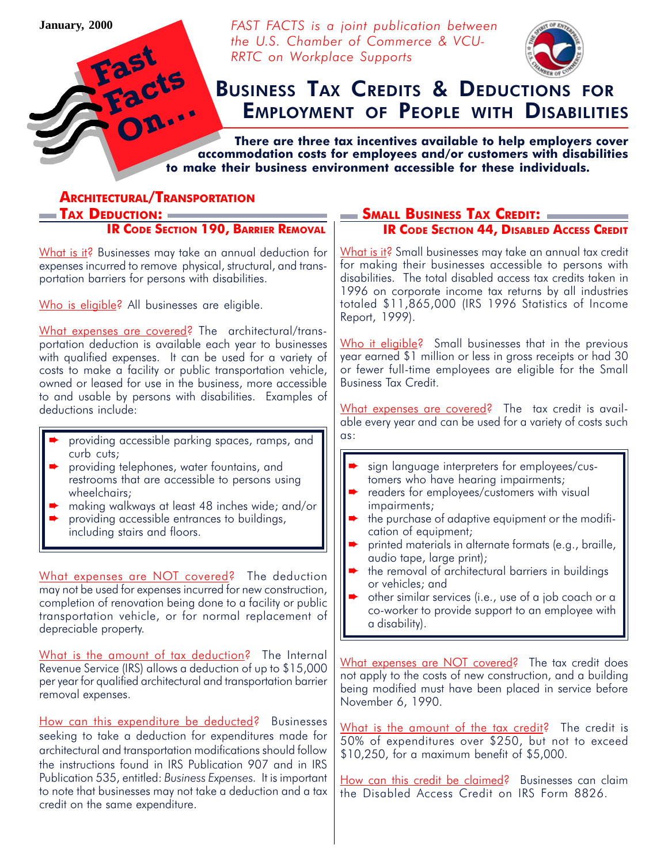**January, 2000**

Fast

Facts

FAST FACTS is a joint publication between the U.S. Chamber of Commerce & VCU-RRTC on Workplace Supports



# **EMPLOYMENT OF PEOPLE WITH DISABILITIES** BUSINESS TAX CREDITS & DEDUCTIONS FOR

 There are three tax incentives available to help employers cover accommodation costs for employees and/or customers with disabilities to make their business environment accessible for these individuals.

| <b>ARCHITECTURAL/TRANSPORTATION</b>                                                                                                                                                                                                                                                                                                                                  |                                                                                                                                                                                                                                                                                                                                          |
|----------------------------------------------------------------------------------------------------------------------------------------------------------------------------------------------------------------------------------------------------------------------------------------------------------------------------------------------------------------------|------------------------------------------------------------------------------------------------------------------------------------------------------------------------------------------------------------------------------------------------------------------------------------------------------------------------------------------|
| — Tax Deduction: =                                                                                                                                                                                                                                                                                                                                                   |                                                                                                                                                                                                                                                                                                                                          |
| <b>IR CODE SECTION 190, BARRIER REMOVAL</b>                                                                                                                                                                                                                                                                                                                          | <b>IR CODE SECTION 44, DISABLED ACCESS CREDIT</b>                                                                                                                                                                                                                                                                                        |
| What is it? Businesses may take an annual deduction for<br>expenses incurred to remove physical, structural, and trans-<br>portation barriers for persons with disabilities.                                                                                                                                                                                         | What is it? Small businesses may take an annual tax credit<br>for making their businesses accessible to persons with<br>disabilities. The total disabled access tax credits taken in<br>1996 on corporate income tax returns by all industries                                                                                           |
| Who is eligible? All businesses are eligible.                                                                                                                                                                                                                                                                                                                        | totaled \$11,865,000 (IRS 1996 Statistics of Income<br>Report, 1999).                                                                                                                                                                                                                                                                    |
| What expenses are covered? The architectural/trans-<br>portation deduction is available each year to businesses<br>with qualified expenses. It can be used for a variety of<br>costs to make a facility or public transportation vehicle,<br>owned or leased for use in the business, more accessible<br>to and usable by persons with disabilities. Examples of     | Who it eligible? Small businesses that in the previous<br>year earned \$1 million or less in gross receipts or had 30<br>or fewer full-time employees are eligible for the Small<br><b>Business Tax Credit.</b>                                                                                                                          |
| deductions include:                                                                                                                                                                                                                                                                                                                                                  | What expenses are covered? The tax credit is avail-<br>able every year and can be used for a variety of costs such                                                                                                                                                                                                                       |
| providing accessible parking spaces, ramps, and<br>curb cuts;<br>providing telephones, water fountains, and<br>restrooms that are accessible to persons using<br>wheelchairs;<br>making walkways at least 48 inches wide; and/or<br>▶<br>providing accessible entrances to buildings,<br>including stairs and floors.                                                | $\alpha s$ :<br>sign language interpreters for employees/cus-<br>tomers who have hearing impairments;<br>readers for employees/customers with visual<br>impairments;<br>the purchase of adaptive equipment or the modifi-<br>cation of equipment;<br>printed materials in alternate formats (e.g., braille,<br>audio tape, large print); |
| What expenses are NOT covered? The deduction<br>may not be used for expenses incurred for new construction,<br>completion of renovation being done to a facility or public<br>transportation vehicle, or for normal replacement of<br>depreciable property.                                                                                                          | the removal of architectural barriers in buildings<br>or vehicles; and<br>other similar services (i.e., use of a job coach or a<br>co-worker to provide support to an employee with<br>a disability).                                                                                                                                    |
| What is the amount of tax deduction? The Internal<br>Revenue Service (IRS) allows a deduction of up to \$15,000<br>per year for qualified architectural and transportation barrier<br>removal expenses.                                                                                                                                                              | What expenses are NOT covered? The tax credit does<br>not apply to the costs of new construction, and a building<br>being modified must have been placed in service before<br>November 6, 1990.                                                                                                                                          |
| How can this expenditure be deducted? Businesses<br>seeking to take a deduction for expenditures made for<br>architectural and transportation modifications should follow<br>the instructions found in IRS Publication 907 and in IRS<br>Publication 535, entitled: Business Expenses. It is important<br>to note that businesses may not take a deduction and a tax | What is the amount of the tax credit? The credit is<br>50% of expenditures over \$250, but not to exceed<br>\$10,250, for a maximum benefit of \$5,000.<br>How can this credit be claimed? Businesses can claim<br>the Disabled Access Credit on IRS Form 8826.                                                                          |
| credit on the same expenditure.                                                                                                                                                                                                                                                                                                                                      |                                                                                                                                                                                                                                                                                                                                          |